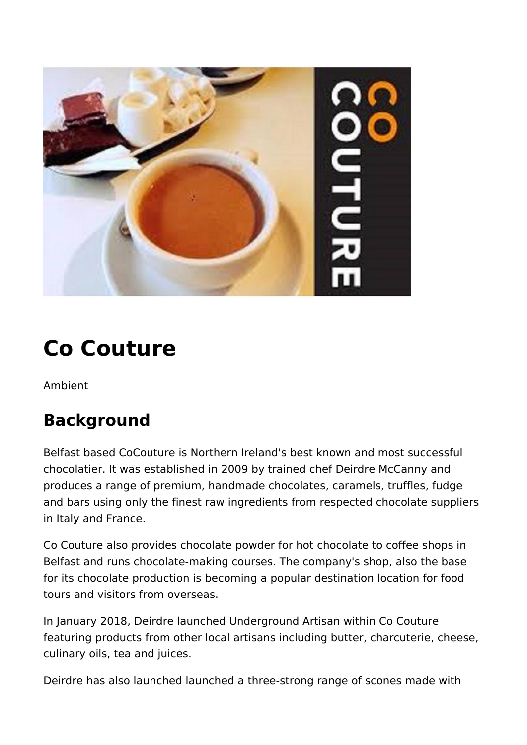

# **Co Couture**

Ambient

### **Background**

Belfast based CoCouture is Northern Ireland's best known and most successful chocolatier. It was established in 2009 by trained chef Deirdre McCanny and produces a range of premium, handmade chocolates, caramels, truffles, fudge and bars using only the finest raw ingredients from respected chocolate suppliers in Italy and France.

Co Couture also provides chocolate powder for hot chocolate to coffee shops in Belfast and runs chocolate-making courses. The company's shop, also the base for its chocolate production is becoming a popular destination location for food tours and visitors from overseas.

In January 2018, Deirdre launched Underground Artisan within Co Couture featuring products from other local artisans including butter, charcuterie, cheese, culinary oils, tea and juices.

Deirdre has also launched launched a three-strong range of scones made with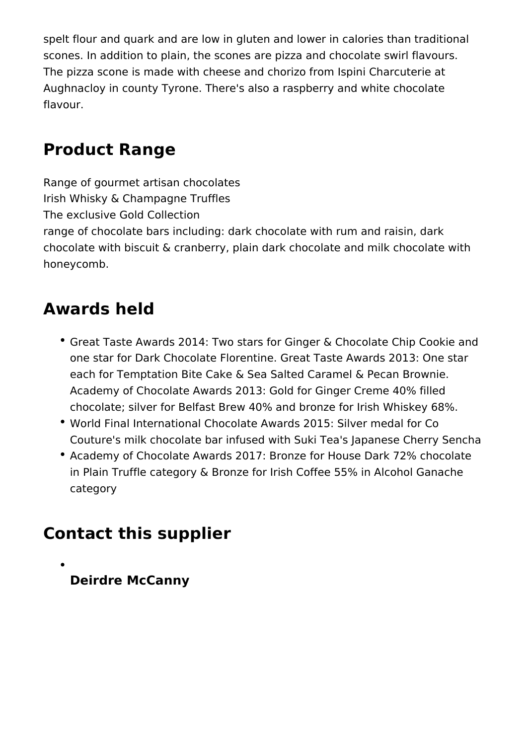spelt flour and quark and are low in gluten and lower in calories than traditional scones. In addition to plain, the scones are pizza and chocolate swirl flavours. The pizza scone is made with cheese and chorizo from Ispini Charcuterie at Aughnacloy in county Tyrone. There's also a raspberry and white chocolate flavour.

## **Product Range**

Range of gourmet artisan chocolates Irish Whisky & Champagne Truffles The exclusive Gold Collection range of chocolate bars including: dark chocolate with rum and raisin, dark

chocolate with biscuit & cranberry, plain dark chocolate and milk chocolate with honeycomb.

# **Awards held**

- Great Taste Awards 2014: Two stars for Ginger & Chocolate Chip Cookie and one star for Dark Chocolate Florentine. Great Taste Awards 2013: One star each for Temptation Bite Cake & Sea Salted Caramel & Pecan Brownie. Academy of Chocolate Awards 2013: Gold for Ginger Creme 40% filled chocolate; silver for Belfast Brew 40% and bronze for Irish Whiskey 68%.
- World Final International Chocolate Awards 2015: Silver medal for Co Couture's milk chocolate bar infused with Suki Tea's Japanese Cherry Sencha
- Academy of Chocolate Awards 2017: Bronze for House Dark 72% chocolate in Plain Truffle category & Bronze for Irish Coffee 55% in Alcohol Ganache category

### **Contact this supplier**

**Deirdre McCanny**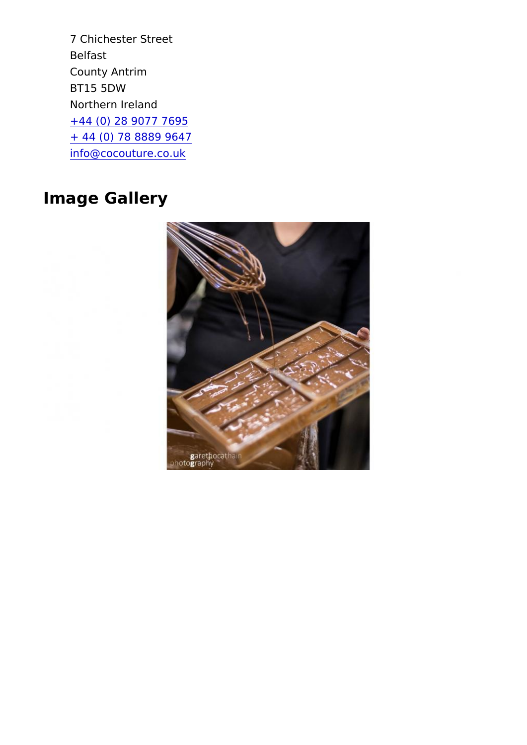7 Chichester Street Belfast County Antrim BT15 5DW Northern Ireland [+44 \(0\) 28 9077](tel:+44(0)2890777695) 7695 [+ 44 \(0\) 78 8889](tel:+44(0)7888899647) 9647 [info@cocouture](mailto:info@cocouture.co.uk).co.uk

Image Gallery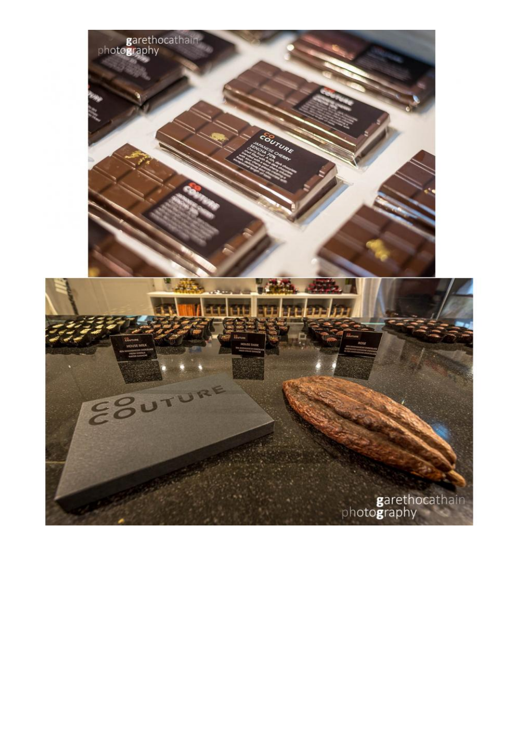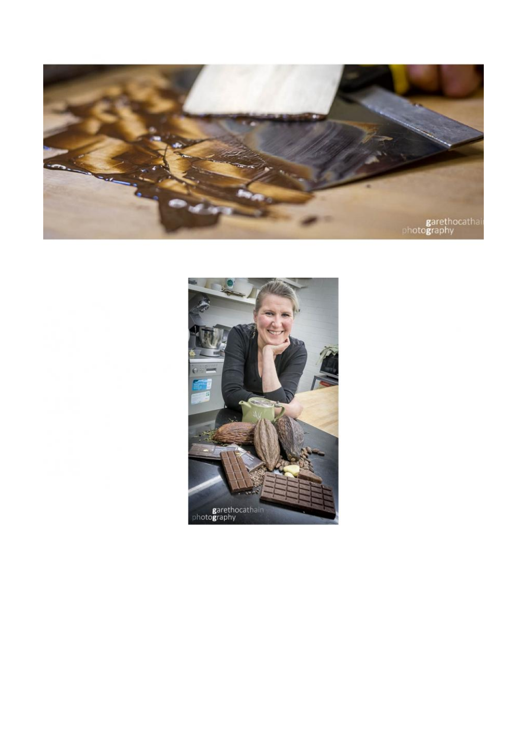